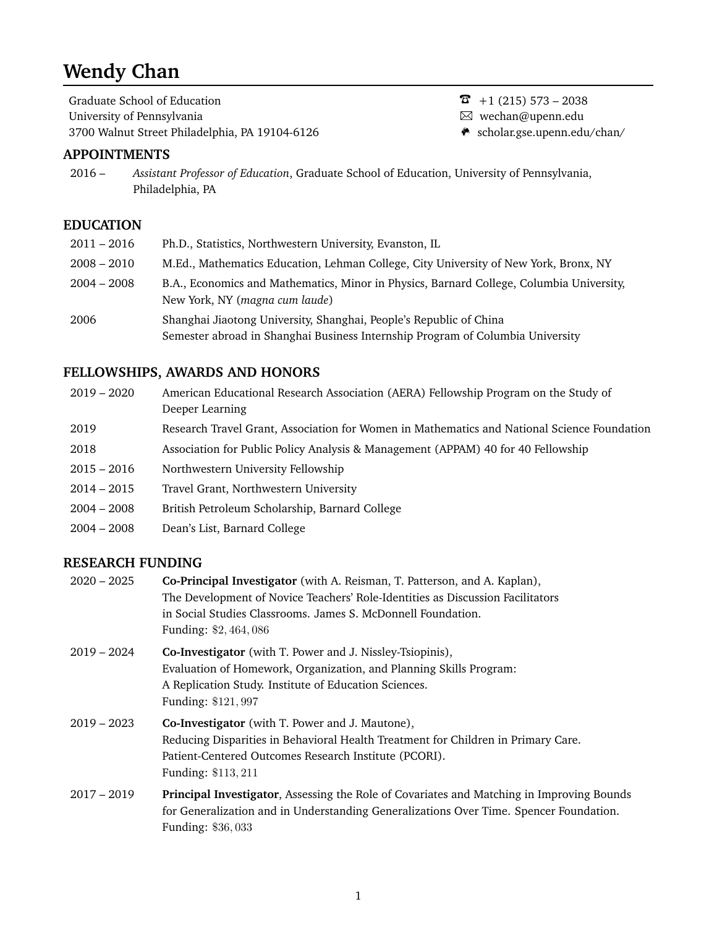# **Wendy Chan**

Graduate School of Education  $\overline{8}$  +1 (215) 573 – 2038 University of Pennsylvania and a wechan@upenn.edu Maxwechan@upenn.edu 3700 Walnut Street Philadelphia, PA 19104-6126 m scholar.gse.upenn.edu/chan/

# **APPOINTMENTS**

2016 – *Assistant Professor of Education*, Graduate School of Education, University of Pennsylvania, Philadelphia, PA

## **EDUCATION**

| $2011 - 2016$ | Ph.D., Statistics, Northwestern University, Evanston, IL                                                                   |
|---------------|----------------------------------------------------------------------------------------------------------------------------|
| $2008 - 2010$ | M.Ed., Mathematics Education, Lehman College, City University of New York, Bronx, NY                                       |
| $2004 - 2008$ | B.A., Economics and Mathematics, Minor in Physics, Barnard College, Columbia University,<br>New York, NY (magna cum laude) |
| 2006          | Shanghai Jiaotong University, Shanghai, People's Republic of China                                                         |
|               | Semester abroad in Shanghai Business Internship Program of Columbia University                                             |

# **FELLOWSHIPS, AWARDS AND HONORS**

- 2019 2020 American Educational Research Association (AERA) Fellowship Program on the Study of Deeper Learning
- 2019 Research Travel Grant, Association for Women in Mathematics and National Science Foundation
- 2018 Association for Public Policy Analysis & Management (APPAM) 40 for 40 Fellowship
- 2015 2016 Northwestern University Fellowship
- 2014 2015 Travel Grant, Northwestern University
- 2004 2008 British Petroleum Scholarship, Barnard College
- 2004 2008 Dean's List, Barnard College

## **RESEARCH FUNDING**

| $2020 - 2025$ | Co-Principal Investigator (with A. Reisman, T. Patterson, and A. Kaplan),                 |
|---------------|-------------------------------------------------------------------------------------------|
|               | The Development of Novice Teachers' Role-Identities as Discussion Facilitators            |
|               | in Social Studies Classrooms. James S. McDonnell Foundation.                              |
|               | Funding: \$2,464,086                                                                      |
| $2019 - 2024$ | Co-Investigator (with T. Power and J. Nissley-Tsiopinis),                                 |
|               | Evaluation of Homework, Organization, and Planning Skills Program:                        |
|               | A Replication Study. Institute of Education Sciences.                                     |
|               | Funding: \$121, 997                                                                       |
| $2019 - 2023$ | <b>Co-Investigator</b> (with T. Power and J. Mautone),                                    |
|               | Reducing Disparities in Behavioral Health Treatment for Children in Primary Care.         |
|               | Patient-Centered Outcomes Research Institute (PCORI).                                     |
|               | Funding: \$113, 211                                                                       |
| $2017 - 2019$ | Principal Investigator, Assessing the Role of Covariates and Matching in Improving Bounds |
|               | for Generalization and in Understanding Generalizations Over Time. Spencer Foundation.    |
|               | <b>Funding: \$36,033</b>                                                                  |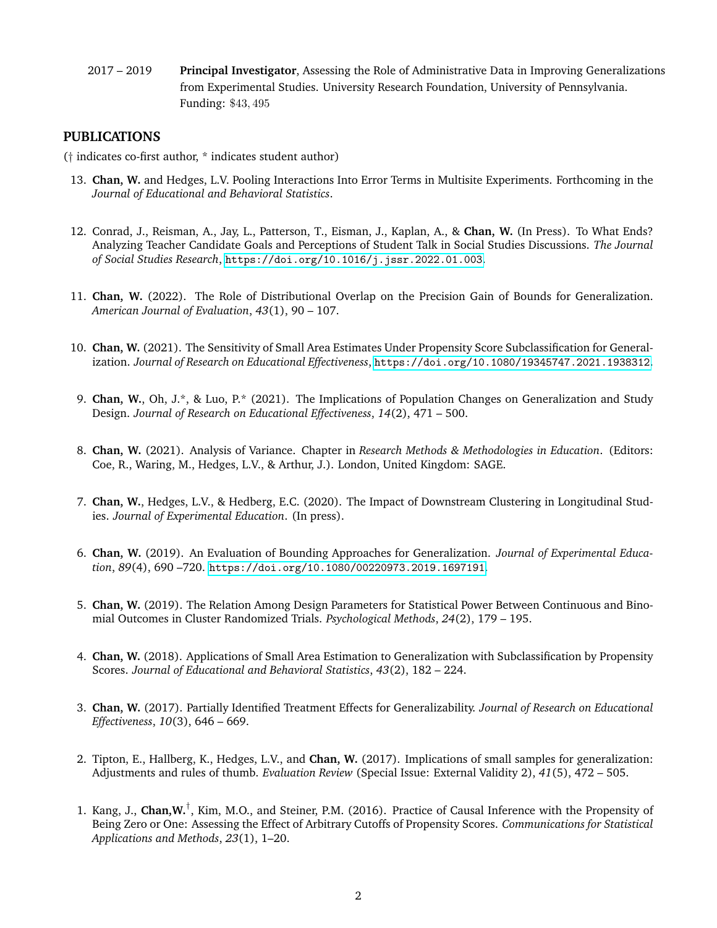2017 – 2019 **Principal Investigator**, Assessing the Role of Administrative Data in Improving Generalizations from Experimental Studies. University Research Foundation, University of Pennsylvania. Funding: \$43, 495

## **PUBLICATIONS**

(† indicates co-first author, \* indicates student author)

- 13. **Chan, W.** and Hedges, L.V. Pooling Interactions Into Error Terms in Multisite Experiments. Forthcoming in the *Journal of Educational and Behavioral Statistics*.
- 12. Conrad, J., Reisman, A., Jay, L., Patterson, T., Eisman, J., Kaplan, A., & **Chan, W.** (In Press). To What Ends? Analyzing Teacher Candidate Goals and Perceptions of Student Talk in Social Studies Discussions. *The Journal of Social Studies Research*, <https://doi.org/10.1016/j.jssr.2022.01.003>.
- 11. **Chan, W.** (2022). The Role of Distributional Overlap on the Precision Gain of Bounds for Generalization. *American Journal of Evaluation*, *43*(1), 90 – 107.
- 10. **Chan, W.** (2021). The Sensitivity of Small Area Estimates Under Propensity Score Subclassification for Generalization. *Journal of Research on Educational Effectiveness*, <https://doi.org/10.1080/19345747.2021.1938312>.
- 9. **Chan, W.**, Oh, J.\*, & Luo, P.\* (2021). The Implications of Population Changes on Generalization and Study Design. *Journal of Research on Educational Effectiveness*, *14*(2), 471 – 500.
- 8. **Chan, W.** (2021). Analysis of Variance. Chapter in *Research Methods & Methodologies in Education*. (Editors: Coe, R., Waring, M., Hedges, L.V., & Arthur, J.). London, United Kingdom: SAGE.
- 7. **Chan, W.**, Hedges, L.V., & Hedberg, E.C. (2020). The Impact of Downstream Clustering in Longitudinal Studies. *Journal of Experimental Education*. (In press).
- 6. **Chan, W.** (2019). An Evaluation of Bounding Approaches for Generalization. *Journal of Experimental Education*, *89*(4), 690 –720. <https://doi.org/10.1080/00220973.2019.1697191>.
- 5. **Chan, W.** (2019). The Relation Among Design Parameters for Statistical Power Between Continuous and Binomial Outcomes in Cluster Randomized Trials. *Psychological Methods*, *24*(2), 179 – 195.
- 4. **Chan, W.** (2018). Applications of Small Area Estimation to Generalization with Subclassification by Propensity Scores. *Journal of Educational and Behavioral Statistics*, *43*(2), 182 – 224.
- 3. **Chan, W.** (2017). Partially Identified Treatment Effects for Generalizability. *Journal of Research on Educational Effectiveness*, *10*(3), 646 – 669.
- 2. Tipton, E., Hallberg, K., Hedges, L.V., and **Chan, W.** (2017). Implications of small samples for generalization: Adjustments and rules of thumb. *Evaluation Review* (Special Issue: External Validity 2), *41*(5), 472 – 505.
- 1. Kang, J., **Chan,W.**† , Kim, M.O., and Steiner, P.M. (2016). Practice of Causal Inference with the Propensity of Being Zero or One: Assessing the Effect of Arbitrary Cutoffs of Propensity Scores. *Communications for Statistical Applications and Methods*, *23*(1), 1–20.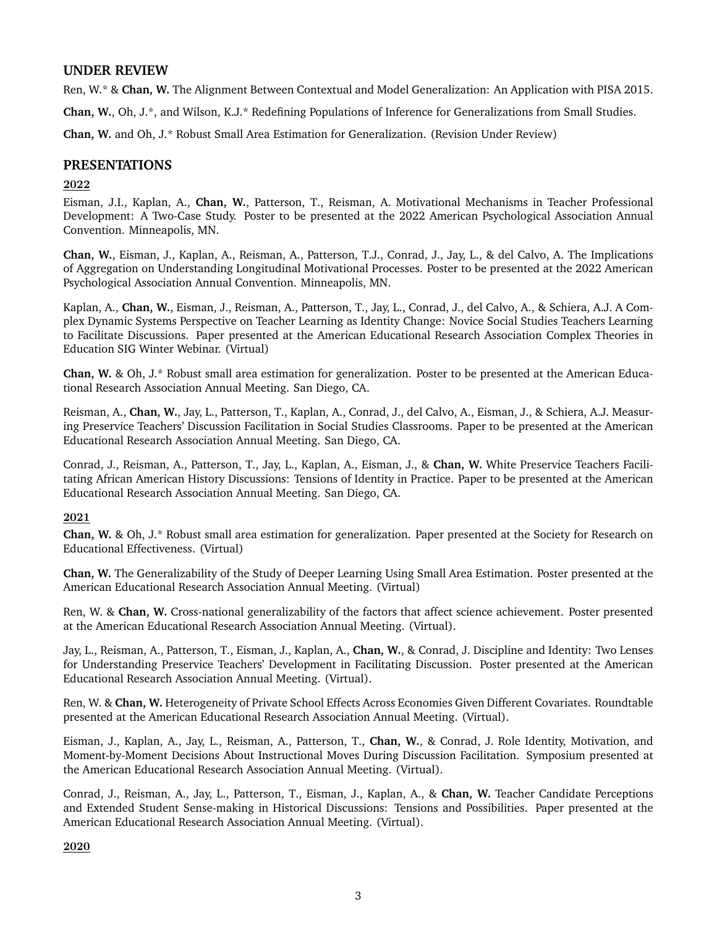## **UNDER REVIEW**

Ren, W.\* & **Chan, W.** The Alignment Between Contextual and Model Generalization: An Application with PISA 2015.

**Chan, W.**, Oh, J.\*, and Wilson, K.J.\* Redefining Populations of Inference for Generalizations from Small Studies.

**Chan, W.** and Oh, J.\* Robust Small Area Estimation for Generalization. (Revision Under Review)

## **PRESENTATIONS**

#### 2022

Eisman, J.I., Kaplan, A., **Chan, W.**, Patterson, T., Reisman, A. Motivational Mechanisms in Teacher Professional Development: A Two-Case Study. Poster to be presented at the 2022 American Psychological Association Annual Convention. Minneapolis, MN.

**Chan, W.**, Eisman, J., Kaplan, A., Reisman, A., Patterson, T.J., Conrad, J., Jay, L., & del Calvo, A. The Implications of Aggregation on Understanding Longitudinal Motivational Processes. Poster to be presented at the 2022 American Psychological Association Annual Convention. Minneapolis, MN.

Kaplan, A., **Chan, W.**, Eisman, J., Reisman, A., Patterson, T., Jay, L., Conrad, J., del Calvo, A., & Schiera, A.J. A Complex Dynamic Systems Perspective on Teacher Learning as Identity Change: Novice Social Studies Teachers Learning to Facilitate Discussions. Paper presented at the American Educational Research Association Complex Theories in Education SIG Winter Webinar. (Virtual)

**Chan, W.** & Oh, J.\* Robust small area estimation for generalization. Poster to be presented at the American Educational Research Association Annual Meeting. San Diego, CA.

Reisman, A., **Chan, W.**, Jay, L., Patterson, T., Kaplan, A., Conrad, J., del Calvo, A., Eisman, J., & Schiera, A.J. Measuring Preservice Teachers' Discussion Facilitation in Social Studies Classrooms. Paper to be presented at the American Educational Research Association Annual Meeting. San Diego, CA.

Conrad, J., Reisman, A., Patterson, T., Jay, L., Kaplan, A., Eisman, J., & **Chan, W.** White Preservice Teachers Facilitating African American History Discussions: Tensions of Identity in Practice. Paper to be presented at the American Educational Research Association Annual Meeting. San Diego, CA.

2021

**Chan, W.** & Oh, J.\* Robust small area estimation for generalization. Paper presented at the Society for Research on Educational Effectiveness. (Virtual)

**Chan, W.** The Generalizability of the Study of Deeper Learning Using Small Area Estimation. Poster presented at the American Educational Research Association Annual Meeting. (Virtual)

Ren, W. & **Chan, W.** Cross-national generalizability of the factors that affect science achievement. Poster presented at the American Educational Research Association Annual Meeting. (Virtual).

Jay, L., Reisman, A., Patterson, T., Eisman, J., Kaplan, A., **Chan, W.**, & Conrad, J. Discipline and Identity: Two Lenses for Understanding Preservice Teachers' Development in Facilitating Discussion. Poster presented at the American Educational Research Association Annual Meeting. (Virtual).

Ren, W. & **Chan, W.** Heterogeneity of Private School Effects Across Economies Given Different Covariates. Roundtable presented at the American Educational Research Association Annual Meeting. (Virtual).

Eisman, J., Kaplan, A., Jay, L., Reisman, A., Patterson, T., **Chan, W.**, & Conrad, J. Role Identity, Motivation, and Moment-by-Moment Decisions About Instructional Moves During Discussion Facilitation. Symposium presented at the American Educational Research Association Annual Meeting. (Virtual).

Conrad, J., Reisman, A., Jay, L., Patterson, T., Eisman, J., Kaplan, A., & **Chan, W.** Teacher Candidate Perceptions and Extended Student Sense-making in Historical Discussions: Tensions and Possibilities. Paper presented at the American Educational Research Association Annual Meeting. (Virtual).

2020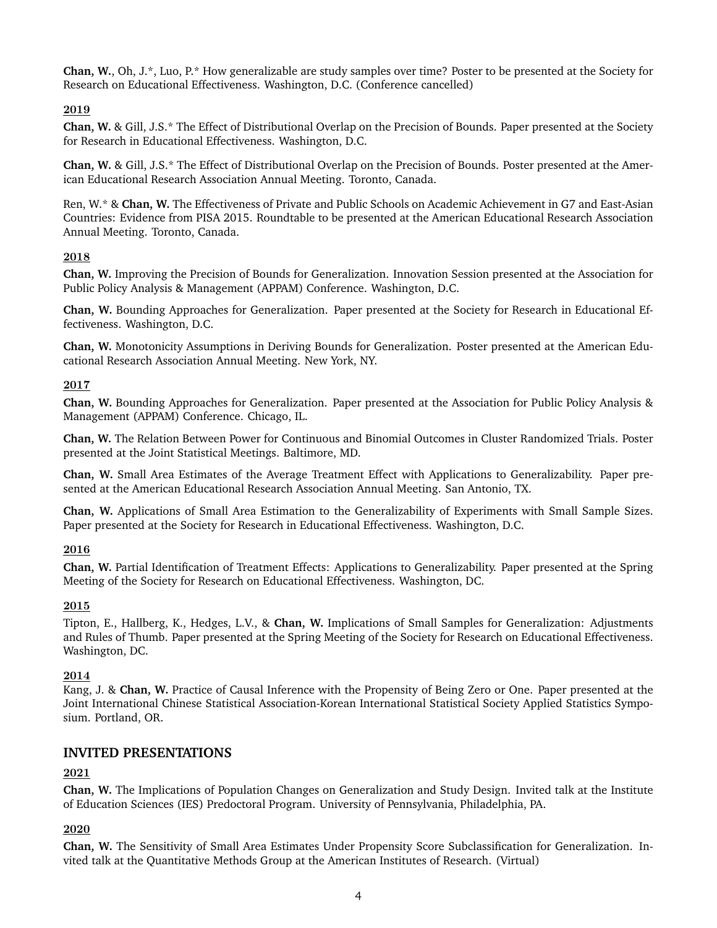**Chan, W.**, Oh, J.\*, Luo, P.\* How generalizable are study samples over time? Poster to be presented at the Society for Research on Educational Effectiveness. Washington, D.C. (Conference cancelled)

## 2019

**Chan, W.** & Gill, J.S.\* The Effect of Distributional Overlap on the Precision of Bounds. Paper presented at the Society for Research in Educational Effectiveness. Washington, D.C.

**Chan, W.** & Gill, J.S.\* The Effect of Distributional Overlap on the Precision of Bounds. Poster presented at the American Educational Research Association Annual Meeting. Toronto, Canada.

Ren, W.\* & **Chan, W.** The Effectiveness of Private and Public Schools on Academic Achievement in G7 and East-Asian Countries: Evidence from PISA 2015. Roundtable to be presented at the American Educational Research Association Annual Meeting. Toronto, Canada.

#### 2018

**Chan, W.** Improving the Precision of Bounds for Generalization. Innovation Session presented at the Association for Public Policy Analysis & Management (APPAM) Conference. Washington, D.C.

**Chan, W.** Bounding Approaches for Generalization. Paper presented at the Society for Research in Educational Effectiveness. Washington, D.C.

**Chan, W.** Monotonicity Assumptions in Deriving Bounds for Generalization. Poster presented at the American Educational Research Association Annual Meeting. New York, NY.

#### 2017

**Chan, W.** Bounding Approaches for Generalization. Paper presented at the Association for Public Policy Analysis & Management (APPAM) Conference. Chicago, IL.

**Chan, W.** The Relation Between Power for Continuous and Binomial Outcomes in Cluster Randomized Trials. Poster presented at the Joint Statistical Meetings. Baltimore, MD.

**Chan, W.** Small Area Estimates of the Average Treatment Effect with Applications to Generalizability. Paper presented at the American Educational Research Association Annual Meeting. San Antonio, TX.

**Chan, W.** Applications of Small Area Estimation to the Generalizability of Experiments with Small Sample Sizes. Paper presented at the Society for Research in Educational Effectiveness. Washington, D.C.

#### 2016

**Chan, W.** Partial Identification of Treatment Effects: Applications to Generalizability. Paper presented at the Spring Meeting of the Society for Research on Educational Effectiveness. Washington, DC.

#### 2015

Tipton, E., Hallberg, K., Hedges, L.V., & **Chan, W.** Implications of Small Samples for Generalization: Adjustments and Rules of Thumb. Paper presented at the Spring Meeting of the Society for Research on Educational Effectiveness. Washington, DC.

#### 2014

Kang, J. & **Chan, W.** Practice of Causal Inference with the Propensity of Being Zero or One. Paper presented at the Joint International Chinese Statistical Association-Korean International Statistical Society Applied Statistics Symposium. Portland, OR.

# **INVITED PRESENTATIONS**

# 2021

**Chan, W.** The Implications of Population Changes on Generalization and Study Design. Invited talk at the Institute of Education Sciences (IES) Predoctoral Program. University of Pennsylvania, Philadelphia, PA.

#### 2020

**Chan, W.** The Sensitivity of Small Area Estimates Under Propensity Score Subclassification for Generalization. Invited talk at the Quantitative Methods Group at the American Institutes of Research. (Virtual)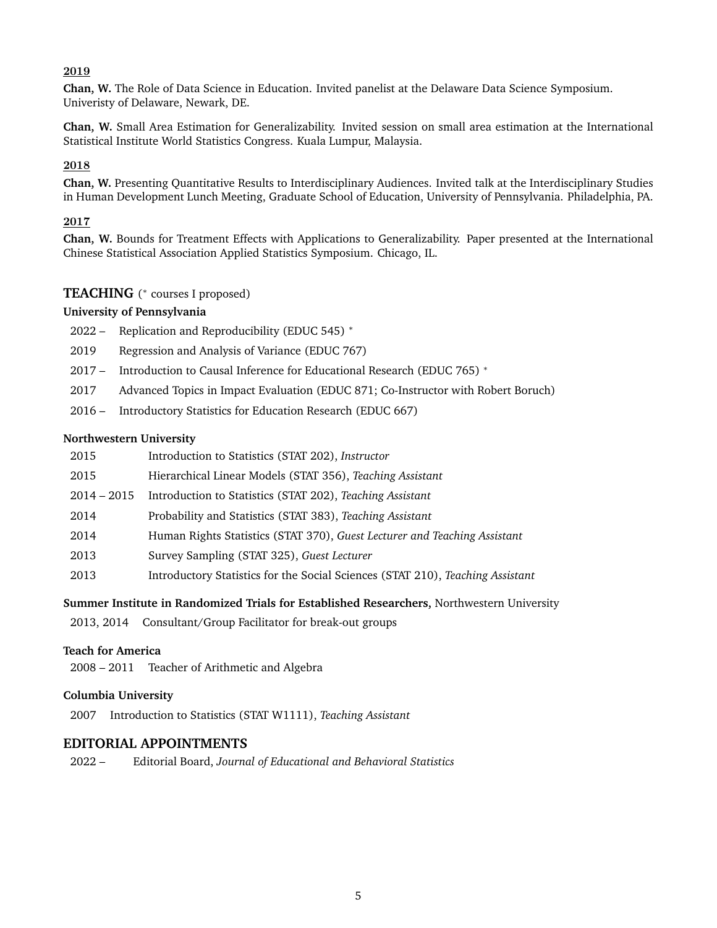#### 2019

**Chan, W.** The Role of Data Science in Education. Invited panelist at the Delaware Data Science Symposium. Univeristy of Delaware, Newark, DE.

**Chan, W.** Small Area Estimation for Generalizability. Invited session on small area estimation at the International Statistical Institute World Statistics Congress. Kuala Lumpur, Malaysia.

#### 2018

**Chan, W.** Presenting Quantitative Results to Interdisciplinary Audiences. Invited talk at the Interdisciplinary Studies in Human Development Lunch Meeting, Graduate School of Education, University of Pennsylvania. Philadelphia, PA.

#### 2017

**Chan, W.** Bounds for Treatment Effects with Applications to Generalizability. Paper presented at the International Chinese Statistical Association Applied Statistics Symposium. Chicago, IL.

## TEACHING (\* courses I proposed)

#### **University of Pennsylvania**

- 2022 Replication and Reproducibility (EDUC 545) <sup>∗</sup>
- 2019 Regression and Analysis of Variance (EDUC 767)
- 2017 Introduction to Causal Inference for Educational Research (EDUC 765) <sup>∗</sup>
- 2017 Advanced Topics in Impact Evaluation (EDUC 871; Co-Instructor with Robert Boruch)
- 2016 Introductory Statistics for Education Research (EDUC 667)

#### **Northwestern University**

| 2015          | Introduction to Statistics (STAT 202), Instructor                              |
|---------------|--------------------------------------------------------------------------------|
| 2015          | Hierarchical Linear Models (STAT 356), Teaching Assistant                      |
| $2014 - 2015$ | Introduction to Statistics (STAT 202), Teaching Assistant                      |
| 2014          | Probability and Statistics (STAT 383), Teaching Assistant                      |
| 2014          | Human Rights Statistics (STAT 370), Guest Lecturer and Teaching Assistant      |
| 2013          | Survey Sampling (STAT 325), Guest Lecturer                                     |
| 2013          | Introductory Statistics for the Social Sciences (STAT 210), Teaching Assistant |
|               |                                                                                |

#### **Summer Institute in Randomized Trials for Established Researchers,** Northwestern University

2013, 2014 Consultant/Group Facilitator for break-out groups

## **Teach for America**

2008 – 2011 Teacher of Arithmetic and Algebra

#### **Columbia University**

2007 Introduction to Statistics (STAT W1111), *Teaching Assistant*

## **EDITORIAL APPOINTMENTS**

2022 – Editorial Board, *Journal of Educational and Behavioral Statistics*